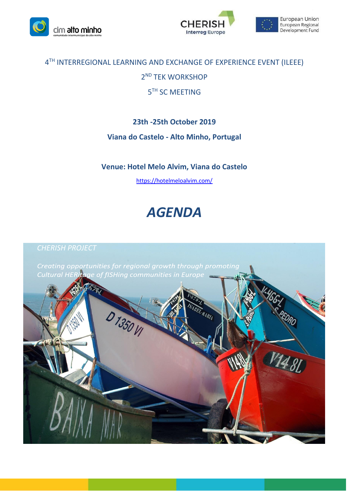





# 4 TH INTERREGIONAL LEARNING AND EXCHANGE OF EXPERIENCE EVENT (ILEEE)

2 ND TEK WORKSHOP

# 5<sup>TH</sup> SC MEETING

## **23th -25th October 2019**

## **Viana do Castelo - Alto Minho, Portugal**

## **Venue: Hotel Melo Alvim, Viana do Castelo**

<https://hotelmeloalvim.com/>

# *AGENDA*

Creating opportunities for regional growth through promoting t<mark>age of fISHing communities in Europe</mark> **Cultural HER** 

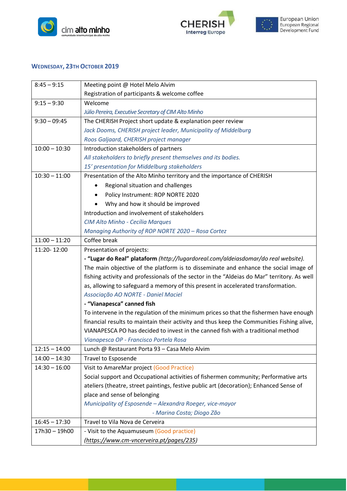



## **WEDNESDAY, 23TH OCTOBER 2019**

| $8:45 - 9:15$   | Meeting point @ Hotel Melo Alvim                                                            |
|-----------------|---------------------------------------------------------------------------------------------|
|                 | Registration of participants & welcome coffee                                               |
| $9:15 - 9:30$   | Welcome                                                                                     |
|                 | Júlio Pereira, Executive Secretary of CIM Alto Minho                                        |
| $9:30 - 09:45$  | The CHERISH Project short update & explanation peer review                                  |
|                 | Jack Dooms, CHERISH project leader, Municipality of Middelburg                              |
|                 | Roos Galjaard, CHERISH project manager                                                      |
| $10:00 - 10:30$ | Introduction stakeholders of partners                                                       |
|                 | All stakeholders to briefly present themselves and its bodies.                              |
|                 | 15' presentation for Middelburg stakeholders                                                |
| $10:30 - 11:00$ | Presentation of the Alto Minho territory and the importance of CHERISH                      |
|                 | Regional situation and challenges                                                           |
|                 | Policy Instrument: ROP NORTE 2020                                                           |
|                 | Why and how it should be improved                                                           |
|                 | Introduction and involvement of stakeholders                                                |
|                 | CIM Alto Minho - Cecília Marques                                                            |
|                 | Managing Authority of ROP NORTE 2020 - Rosa Cortez                                          |
| $11:00 - 11:20$ | Coffee break                                                                                |
| 11:20-12:00     | Presentation of projects:                                                                   |
|                 | - "Lugar do Real" plataform (http://lugardoreal.com/aldeiasdomar/do real website).          |
|                 | The main objective of the platform is to disseminate and enhance the social image of        |
|                 | fishing activity and professionals of the sector in the "Aldeias do Mar" territory. As well |
|                 | as, allowing to safeguard a memory of this present in accelerated transformation.           |
|                 | Associação AO NORTE - Daniel Maciel                                                         |
|                 | - "Vianapesca" canned fish                                                                  |
|                 | To intervene in the regulation of the minimum prices so that the fishermen have enough      |
|                 | financial results to maintain their activity and thus keep the Communities Fishing alive,   |
|                 | VIANAPESCA PO has decided to invest in the canned fish with a traditional method            |
|                 | Vianapesca OP - Francisco Portela Rosa                                                      |
| $12:15 - 14:00$ | Lunch @ Restaurant Porta 93 - Casa Melo Alvim                                               |
| $14:00 - 14:30$ | <b>Travel to Esposende</b>                                                                  |
| $14:30 - 16:00$ | Visit to AmareMar project (Good Practice)                                                   |
|                 | Social support and Occupational activities of fishermen community; Performative arts        |
|                 | ateliers (theatre, street paintings, festive public art (decoration); Enhanced Sense of     |
|                 | place and sense of belonging                                                                |
|                 | Municipality of Esposende - Alexandra Roeger, vice-mayor                                    |
|                 | - Marina Costa; Diogo Zão                                                                   |
| $16:45 - 17:30$ | Travel to Vila Nova de Cerveira                                                             |
| 17h30 - 19h00   | - Visit to the Aquamuseum (Good practice)                                                   |
|                 | (https://www.cm-vncerveira.pt/pages/235)                                                    |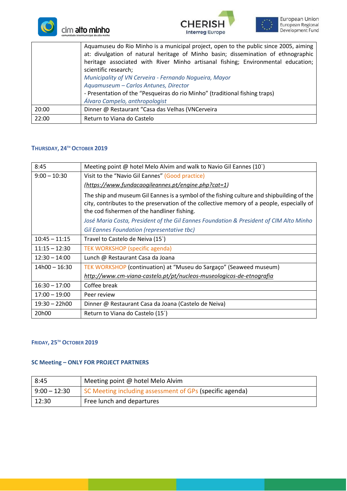





|       | Aquamuseu do Rio Minho is a municipal project, open to the public since 2005, aiming<br>at: divulgation of natural heritage of Minho basin; dissemination of ethnographic<br>heritage associated with River Minho artisanal fishing; Environmental education;<br>scientific research;<br>Municipality of VN Cerveira - Fernando Nogueira, Mayor<br>Aquamuseum - Carlos Antunes, Director<br>- Presentation of the "Pesqueiras do rio Minho" (traditional fishing traps) |
|-------|-------------------------------------------------------------------------------------------------------------------------------------------------------------------------------------------------------------------------------------------------------------------------------------------------------------------------------------------------------------------------------------------------------------------------------------------------------------------------|
|       | Álvaro Campelo, anthropologist                                                                                                                                                                                                                                                                                                                                                                                                                                          |
| 20:00 | Dinner @ Restaurant "Casa das Velhas (VNCerveira                                                                                                                                                                                                                                                                                                                                                                                                                        |
| 22:00 | Return to Viana do Castelo                                                                                                                                                                                                                                                                                                                                                                                                                                              |

#### **THURSDAY, 24TH OCTOBER 2019**

| 8:45               | Meeting point @ hotel Melo Alvim and walk to Navio Gil Eannes (10)                                                                                                                                                                    |
|--------------------|---------------------------------------------------------------------------------------------------------------------------------------------------------------------------------------------------------------------------------------|
| $9:00 - 10:30$     | Visit to the "Navio Gil Eannes" (Good practice)                                                                                                                                                                                       |
|                    | (https://www.fundacaogileannes.pt/engine.php?cat=1)                                                                                                                                                                                   |
|                    | The ship and museum Gil Eannes is a symbol of the fishing culture and shipbuilding of the<br>city, contributes to the preservation of the collective memory of a people, especially of<br>the cod fishermen of the handliner fishing. |
|                    | José Maria Costa, President of the Gil Eannes Foundation & President of CIM Alto Minho                                                                                                                                                |
|                    | Gil Eannes Foundation (representative tbc)                                                                                                                                                                                            |
| $10:45 - 11:15$    | Travel to Castelo de Neiva (15 <sup>'</sup> )                                                                                                                                                                                         |
| $11:15 - 12:30$    | <b>TEK WORKSHOP (specific agenda)</b>                                                                                                                                                                                                 |
| $12:30 - 14:00$    | Lunch @ Restaurant Casa da Joana                                                                                                                                                                                                      |
| $14h00 - 16:30$    | TEK WORKSHOP (continuation) at "Museu do Sargaço" (Seaweed museum)                                                                                                                                                                    |
|                    | http://www.cm-viana-castelo.pt/pt/nucleos-museologicos-de-etnografia                                                                                                                                                                  |
| $16:30 - 17:00$    | Coffee break                                                                                                                                                                                                                          |
| $17:00 - 19:00$    | Peer review                                                                                                                                                                                                                           |
| $19:30 - 22h00$    | Dinner @ Restaurant Casa da Joana (Castelo de Neiva)                                                                                                                                                                                  |
| 20 <sub>h</sub> 00 | Return to Viana do Castelo (15')                                                                                                                                                                                                      |

## **FRIDAY, 25TH OCTOBER 2019**

### **SC Meeting – ONLY FOR PROJECT PARTNERS**

| 8:45           | Meeting point @ hotel Melo Alvim                         |
|----------------|----------------------------------------------------------|
| $9:00 - 12:30$ | SC Meeting including assessment of GPs (specific agenda) |
| 12:30          | Free lunch and departures                                |